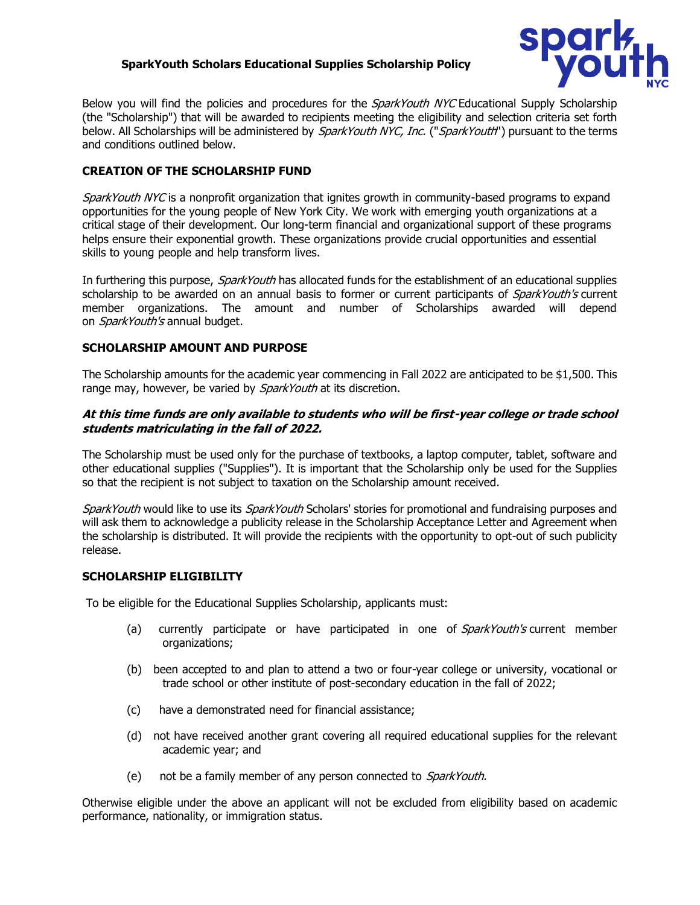# **SparkYouth Scholars Educational Supplies Scholarship Policy**



Below you will find the policies and procedures for the *SparkYouth NYC* Educational Supply Scholarship (the "Scholarship") that will be awarded to recipients meeting the eligibility and selection criteria set forth below. All Scholarships will be administered by SparkYouth NYC, Inc. ("SparkYouth") pursuant to the terms and conditions outlined below.

# **CREATION OF THE SCHOLARSHIP FUND**

SparkYouth NYC is a nonprofit organization that ignites growth in community-based programs to expand opportunities for the young people of New York City. We work with emerging youth organizations at a critical stage of their development. Our long-term financial and organizational support of these programs helps ensure their exponential growth. These organizations provide crucial opportunities and essential skills to young people and help transform lives.

In furthering this purpose, *SparkYouth* has allocated funds for the establishment of an educational supplies scholarship to be awarded on an annual basis to former or current participants of *SparkYouth's* current member organizations. The amount and number of Scholarships awarded will depend on SparkYouth's annual budget.

## **SCHOLARSHIP AMOUNT AND PURPOSE**

The Scholarship amounts for the academic year commencing in Fall 2022 are anticipated to be \$1,500. This range may, however, be varied by *SparkYouth* at its discretion.

## **At this time funds are only available to students who will be first-year college or trade school students matriculating in the fall of 2022.**

The Scholarship must be used only for the purchase of textbooks, a laptop computer, tablet, software and other educational supplies ("Supplies"). It is important that the Scholarship only be used for the Supplies so that the recipient is not subject to taxation on the Scholarship amount received.

SparkYouth would like to use its SparkYouth Scholars' stories for promotional and fundraising purposes and will ask them to acknowledge a publicity release in the Scholarship Acceptance Letter and Agreement when the scholarship is distributed. It will provide the recipients with the opportunity to opt-out of such publicity release.

## **SCHOLARSHIP ELIGIBILITY**

To be eligible for the Educational Supplies Scholarship, applicants must:

- (a) currently participate or have participated in one of SparkYouth's current member organizations;
- (b) been accepted to and plan to attend a two or four-year college or university, vocational or trade school or other institute of post-secondary education in the fall of 2022;
- (c) have a demonstrated need for financial assistance;
- (d) not have received another grant covering all required educational supplies for the relevant academic year; and
- (e) not be a family member of any person connected to *SparkYouth.*

Otherwise eligible under the above an applicant will not be excluded from eligibility based on academic performance, nationality, or immigration status.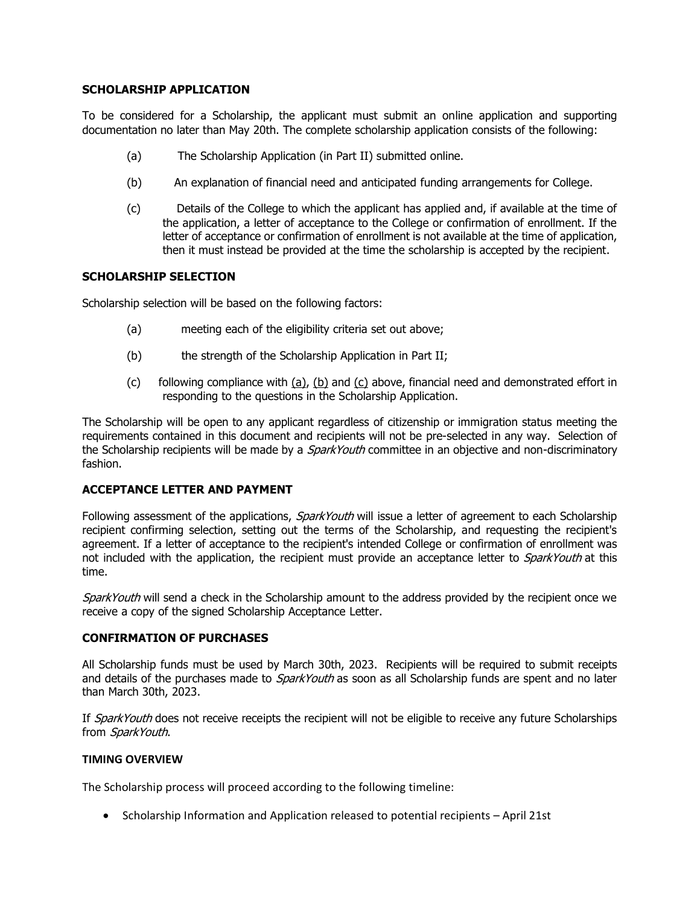### **SCHOLARSHIP APPLICATION**

To be considered for a Scholarship, the applicant must submit an online application and supporting documentation no later than May 20th. The complete scholarship application consists of the following:

- (a) The Scholarship Application (in Part II) submitted online.
- (b) An explanation of financial need and anticipated funding arrangements for College.
- (c) Details of the College to which the applicant has applied and, if available at the time of the application, a letter of acceptance to the College or confirmation of enrollment. If the letter of acceptance or confirmation of enrollment is not available at the time of application, then it must instead be provided at the time the scholarship is accepted by the recipient.

### **SCHOLARSHIP SELECTION**

Scholarship selection will be based on the following factors:

- (a) meeting each of the eligibility criteria set out above;
- (b) the strength of the Scholarship Application in Part II;
- (c) following compliance with (a), (b) and (c) above, financial need and demonstrated effort in responding to the questions in the Scholarship Application.

The Scholarship will be open to any applicant regardless of citizenship or immigration status meeting the requirements contained in this document and recipients will not be pre-selected in any way. Selection of the Scholarship recipients will be made by a *SparkYouth* committee in an objective and non-discriminatory fashion.

### **ACCEPTANCE LETTER AND PAYMENT**

Following assessment of the applications, *SparkYouth* will issue a letter of agreement to each Scholarship recipient confirming selection, setting out the terms of the Scholarship, and requesting the recipient's agreement. If a letter of acceptance to the recipient's intended College or confirmation of enrollment was not included with the application, the recipient must provide an acceptance letter to *SparkYouth* at this time.

SparkYouth will send a check in the Scholarship amount to the address provided by the recipient once we receive a copy of the signed Scholarship Acceptance Letter.

#### **CONFIRMATION OF PURCHASES**

All Scholarship funds must be used by March 30th, 2023. Recipients will be required to submit receipts and details of the purchases made to *SparkYouth* as soon as all Scholarship funds are spent and no later than March 30th, 2023.

If SparkYouth does not receive receipts the recipient will not be eligible to receive any future Scholarships from SparkYouth.

#### **TIMING OVERVIEW**

The Scholarship process will proceed according to the following timeline:

• Scholarship Information and Application released to potential recipients – April 21st